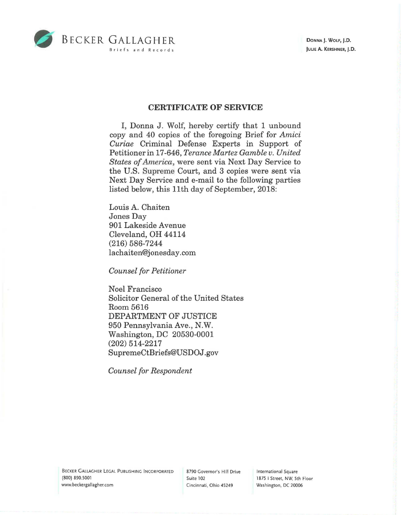

DONNA J. WOLF, J.D. JULIE A. KERSHNER, J.D.

## **CERTIFICATE OF SERVICE**

I, Donna J. Wolf, hereby certify that 1 unbound copy and 40 copies of the foregoing Brief for *Amici Curiae* Criminal Defense Experts in Support of Petitioner in 17-646, *Terance Martez Gamble v. United States of America,* were sent via Next Day Service to the U.S. Supreme Court, and 3 copies were sent via Next Day Service and e-mail to the following parties listed below, this 11th day of September, 2018:

Louis A. Chaiten Jones Day 901 Lakeside Avenue Cleveland, OH 44114 (216) 586-7244 lachaiten@jonesday.com

*Counsel for Petitioner* 

Noel Francisco Solicitor General of the United States Room 5616 DEPARTMENT OF JUSTICE 950 Pennsylvania Ave., N.W. Washington, DC 20530-0001 (202) 514-2217 SupremeCtBriefs@USDOJ.gov

*Counsel for Respondent* 

BECKER GALLAGHER LEGAL PUBLISHING INCORPORATED (800) 890.5001 www.beckergallagher.com

8790 Governor's Hill Drive Suite 102 Cincinnati, Ohio 45249

International Square 1875 I Street, NW, 5th Floor Washington, DC 20006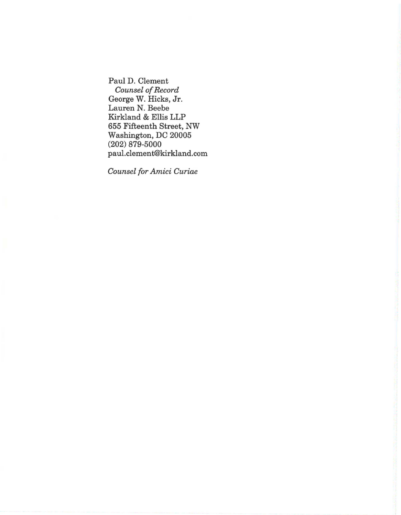Paul D. Clement *Counsel of Record*  George W. Hicks, Jr. Lauren N. Beebe Kirkland & Ellis LLP 655 Fifteenth Street, NW Washington, DC 20005 (202) 879-5000 paul.clement@kirkland.com

*Counsel for Amici Curiae*